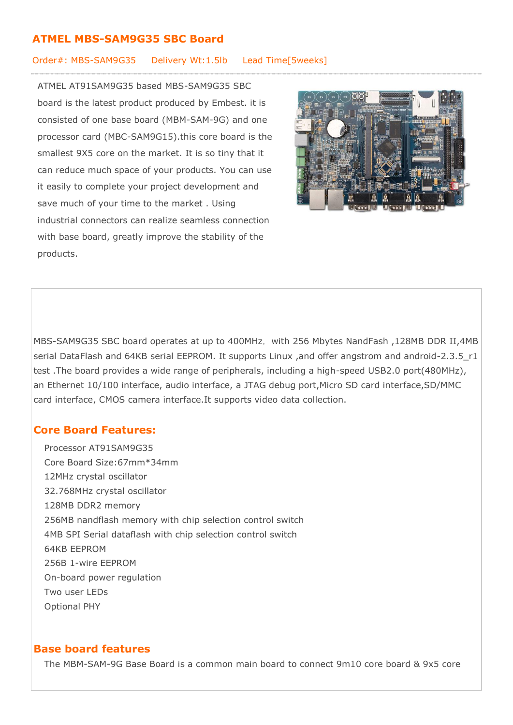## **ATMEL MBS-SAM9G35 SBC Board**

#### Order#: MBS-SAM9G35 Delivery Wt:1.5lb Lead Time[5weeks]

ATMEL AT91SAM9G35 based MBS-SAM9G35 SBC board is the latest product produced by Embest. it is consisted of one base board (MBM-SAM-9G) and one processor card (MBC-SAM9G15).this core board is the smallest 9X5 core on the market. It is so tiny that it can reduce much space of your products. You can use it easily to complete your project development and save much of your time to the market . Using industrial connectors can realize seamless connection with base board, greatly improve the stability of the products.



MBS-SAM9G35 SBC board operates at up to 400MHz, with 256 Mbytes NandFash ,128MB DDR II,4MB serial DataFlash and 64KB serial EEPROM. It supports Linux ,and offer angstrom and android-2.3.5\_r1 test .The board provides a wide range of peripherals, including a high-speed USB2.0 port(480MHz), an Ethernet 10/100 interface, audio interface, a JTAG debug port,Micro SD card interface,SD/MMC card interface, CMOS camera interface.It supports video data collection.

# **Core Board Features:**

- Processor AT91SAM9G35
- Core Board Size: 67mm \* 34mm
- 12MHz crystal oscillator
- 32.768MHz crystal oscillator
- 128MB DDR2 memory
- 256MB nandflash memory with chip selection control switch
- 4MB SPI Serial dataflash with chip selection control switch
- **64KB EEPROM**
- o 256B 1-wire EEPROM
- On-board power regulation
- Two user LEDs
- Optional PHY

## **Base board features**

The MBM-SAM-9G Base Board is a common main board to connect 9m10 core board & 9x5 core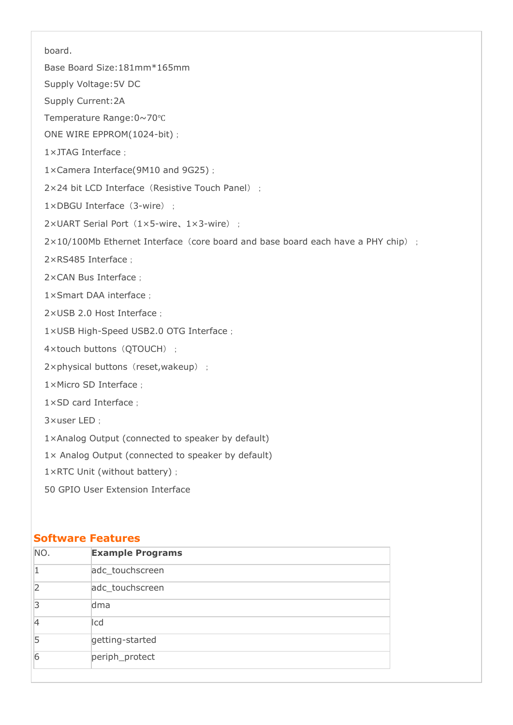board.

- Base Board Size: 181mm\*165mm
- Supply Voltage: 5V DC
- Supply Current:2A
- Temperature Range:0~70℃
- ONE WIRE EPPROM(1024-bit);
- 1×JTAG Interface:
- 1×Camera Interface(9M10 and 9G25);
- $2\times 24$  bit LCD Interface (Resistive Touch Panel) :
- $1 \times DBGU$  Interface (3-wire):
- 2×UART Serial Port (1×5-wire, 1×3-wire);
- $2\times10/100$ Mb Ethernet Interface (core board and base board each have a PHY chip) :
- 2×RS485 Interface:
- 2×CAN Bus Interface;
- 1×Smart DAA interface:
- 2×USB 2.0 Host Interface;
- 1×USB High-Speed USB2.0 OTG Interface;
- 4×touch buttons (QTOUCH);
- $2 \times$ physical buttons (reset, wakeup);
- 1×Micro SD Interface:
- $1 \times$ SD card Interface
- $3 \times$ user LED:
- $1\times$ Analog Output (connected to speaker by default)
- $1\times$  Analog Output (connected to speaker by default)
- 1×RTC Unit (without battery);
- 50 GPIO User Extension Interface

### **Software Features**

| NO. | <b>Example Programs</b> |
|-----|-------------------------|
|     | adc_touchscreen         |
| 2   | adc_touchscreen         |
| R   | dma                     |
| 4   | Icd                     |
| 5   | getting-started         |
| 6   | periph_protect          |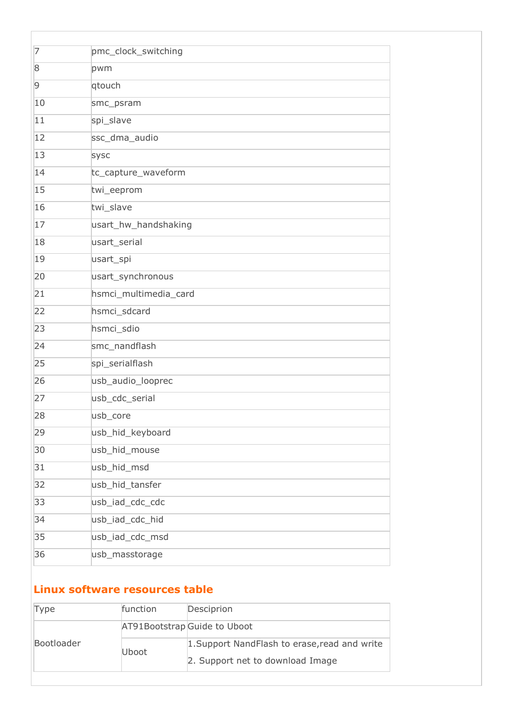| 7  | pmc_clock_switching   |
|----|-----------------------|
| 8  | pwm                   |
| 9  | qtouch                |
| 10 | smc_psram             |
| 11 | spi_slave             |
| 12 | ssc_dma_audio         |
| 13 | sysc                  |
| 14 | tc_capture_waveform   |
| 15 | twi_eeprom            |
| 16 | twi_slave             |
| 17 | usart_hw_handshaking  |
| 18 | usart_serial          |
| 19 | usart_spi             |
| 20 | usart_synchronous     |
| 21 | hsmci_multimedia_card |
| 22 | hsmci_sdcard          |
| 23 | hsmci_sdio            |
| 24 | smc_nandflash         |
| 25 | spi_serialflash       |
| 26 | usb_audio_looprec     |
| 27 | usb_cdc_serial        |
| 28 | usb core              |
| 29 | usb_hid_keyboard      |
| 30 | usb_hid_mouse         |
| 31 | usb_hid_msd           |
| 32 | usb_hid_tansfer       |
| 33 | usb_iad_cdc_cdc       |
| 34 | usb_iad_cdc_hid       |
| 35 | usb_iad_cdc_msd       |
| 36 | usb_masstorage        |
|    |                       |

# **Linux software resources table**

| Type       | function | Desciprion                                    |
|------------|----------|-----------------------------------------------|
|            |          | AT91Bootstrap Guide to Uboot                  |
| Bootloader | Uboot    | 1. Support NandFlash to erase, read and write |
|            |          | 2. Support net to download Image              |